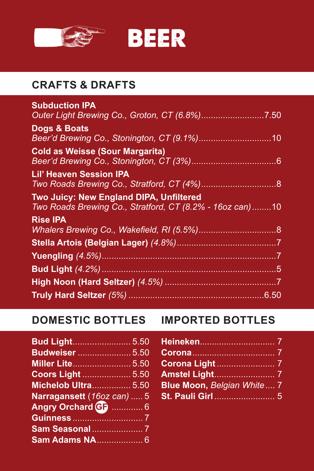



## **CRAFTS & DRAFTS**

| <b>Subduction IPA</b>                                    |  |
|----------------------------------------------------------|--|
|                                                          |  |
| Dogs & Boats                                             |  |
|                                                          |  |
| <b>Cold as Weisse (Sour Margarita)</b>                   |  |
|                                                          |  |
| <b>Lil' Heaven Session IPA</b>                           |  |
|                                                          |  |
| Two Juicy: New England DIPA, Unfiltered                  |  |
| Two Roads Brewing Co., Stratford, CT (8.2% - 16oz can)10 |  |
| <b>Rise IPA</b>                                          |  |
|                                                          |  |
|                                                          |  |
|                                                          |  |
|                                                          |  |
|                                                          |  |
|                                                          |  |
|                                                          |  |

| <b>Budweiser</b> 5.50      |  |
|----------------------------|--|
|                            |  |
| <b>Coors Light  5.50</b>   |  |
| <b>Michelob Ultra 5.50</b> |  |
| Narragansett (16oz can)  5 |  |
| Angry Orchard GF  6        |  |
|                            |  |
|                            |  |
|                            |  |

## **DOMESTIC BOTTLES IMPORTED BOTTLES**

| Blue Moon, Belgian White 7 |  |
|----------------------------|--|
|                            |  |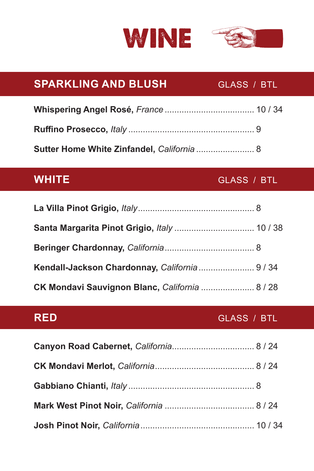



## **SPARKLING AND BLUSH GLASS / BTL**

| Sutter Home White Zinfandel, California  8 |  |
|--------------------------------------------|--|

### **WHITE** GLASS / BTL

| Kendall-Jackson Chardonnay, California  9 / 34 |  |
|------------------------------------------------|--|
| CK Mondavi Sauvignon Blanc, California  8 / 28 |  |

### **RED** GLASS / BTL